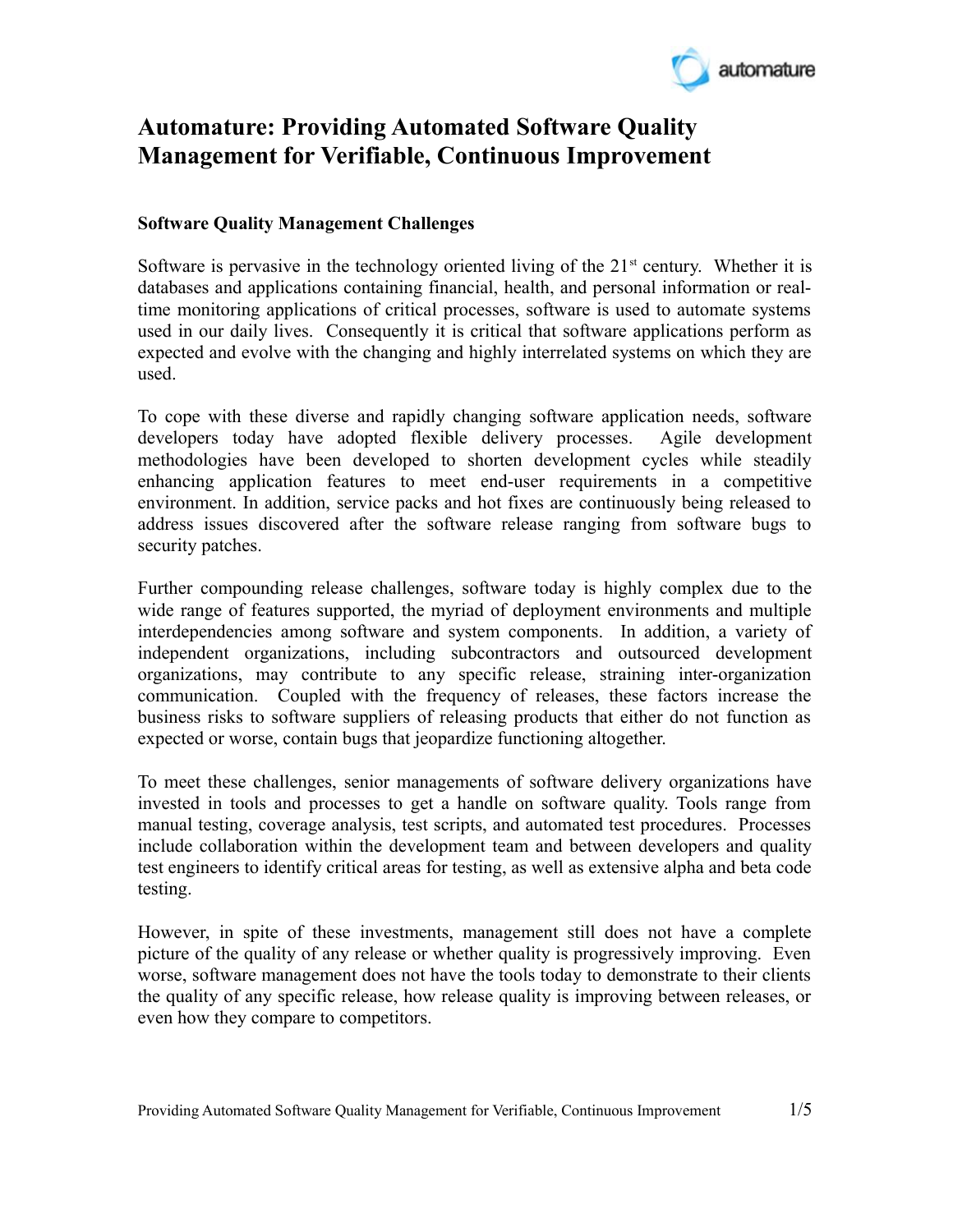

# **Automature: Providing Automated Software Quality Management for Verifiable, Continuous Improvement**

# **Software Quality Management Challenges**

Software is pervasive in the technology oriented living of the  $21<sup>st</sup>$  century. Whether it is databases and applications containing financial, health, and personal information or realtime monitoring applications of critical processes, software is used to automate systems used in our daily lives. Consequently it is critical that software applications perform as expected and evolve with the changing and highly interrelated systems on which they are used.

To cope with these diverse and rapidly changing software application needs, software developers today have adopted flexible delivery processes. Agile development methodologies have been developed to shorten development cycles while steadily enhancing application features to meet end-user requirements in a competitive environment. In addition, service packs and hot fixes are continuously being released to address issues discovered after the software release ranging from software bugs to security patches.

Further compounding release challenges, software today is highly complex due to the wide range of features supported, the myriad of deployment environments and multiple interdependencies among software and system components. In addition, a variety of independent organizations, including subcontractors and outsourced development organizations, may contribute to any specific release, straining inter-organization communication. Coupled with the frequency of releases, these factors increase the business risks to software suppliers of releasing products that either do not function as expected or worse, contain bugs that jeopardize functioning altogether.

To meet these challenges, senior managements of software delivery organizations have invested in tools and processes to get a handle on software quality. Tools range from manual testing, coverage analysis, test scripts, and automated test procedures. Processes include collaboration within the development team and between developers and quality test engineers to identify critical areas for testing, as well as extensive alpha and beta code testing.

However, in spite of these investments, management still does not have a complete picture of the quality of any release or whether quality is progressively improving. Even worse, software management does not have the tools today to demonstrate to their clients the quality of any specific release, how release quality is improving between releases, or even how they compare to competitors.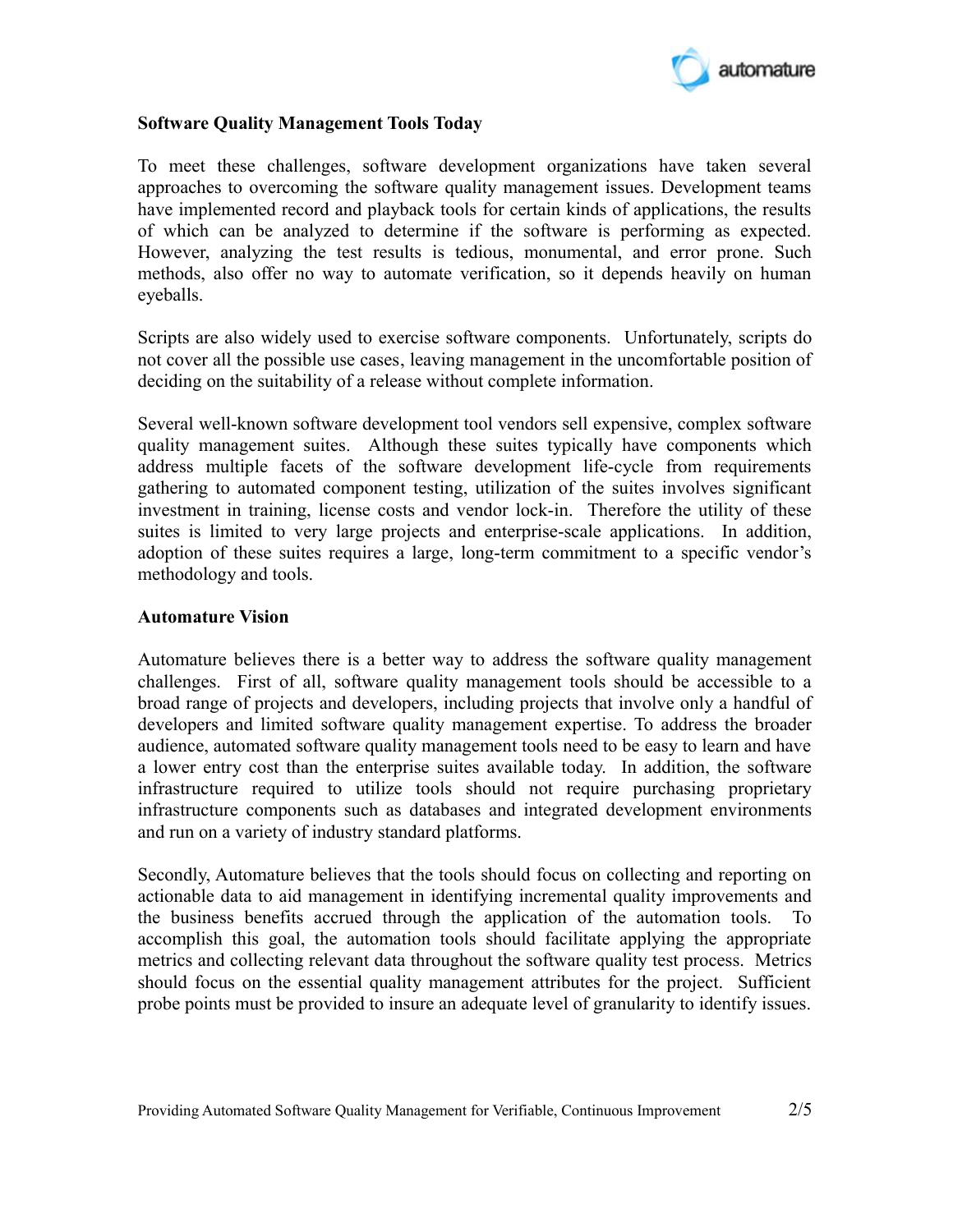

### **Software Quality Management Tools Today**

To meet these challenges, software development organizations have taken several approaches to overcoming the software quality management issues. Development teams have implemented record and playback tools for certain kinds of applications, the results of which can be analyzed to determine if the software is performing as expected. However, analyzing the test results is tedious, monumental, and error prone. Such methods, also offer no way to automate verification, so it depends heavily on human eyeballs.

Scripts are also widely used to exercise software components. Unfortunately, scripts do not cover all the possible use cases, leaving management in the uncomfortable position of deciding on the suitability of a release without complete information.

Several well-known software development tool vendors sell expensive, complex software quality management suites. Although these suites typically have components which address multiple facets of the software development life-cycle from requirements gathering to automated component testing, utilization of the suites involves significant investment in training, license costs and vendor lock-in. Therefore the utility of these suites is limited to very large projects and enterprise-scale applications. In addition, adoption of these suites requires a large, long-term commitment to a specific vendor's methodology and tools.

#### **Automature Vision**

Automature believes there is a better way to address the software quality management challenges. First of all, software quality management tools should be accessible to a broad range of projects and developers, including projects that involve only a handful of developers and limited software quality management expertise. To address the broader audience, automated software quality management tools need to be easy to learn and have a lower entry cost than the enterprise suites available today. In addition, the software infrastructure required to utilize tools should not require purchasing proprietary infrastructure components such as databases and integrated development environments and run on a variety of industry standard platforms.

Secondly, Automature believes that the tools should focus on collecting and reporting on actionable data to aid management in identifying incremental quality improvements and the business benefits accrued through the application of the automation tools. To accomplish this goal, the automation tools should facilitate applying the appropriate metrics and collecting relevant data throughout the software quality test process. Metrics should focus on the essential quality management attributes for the project. Sufficient probe points must be provided to insure an adequate level of granularity to identify issues.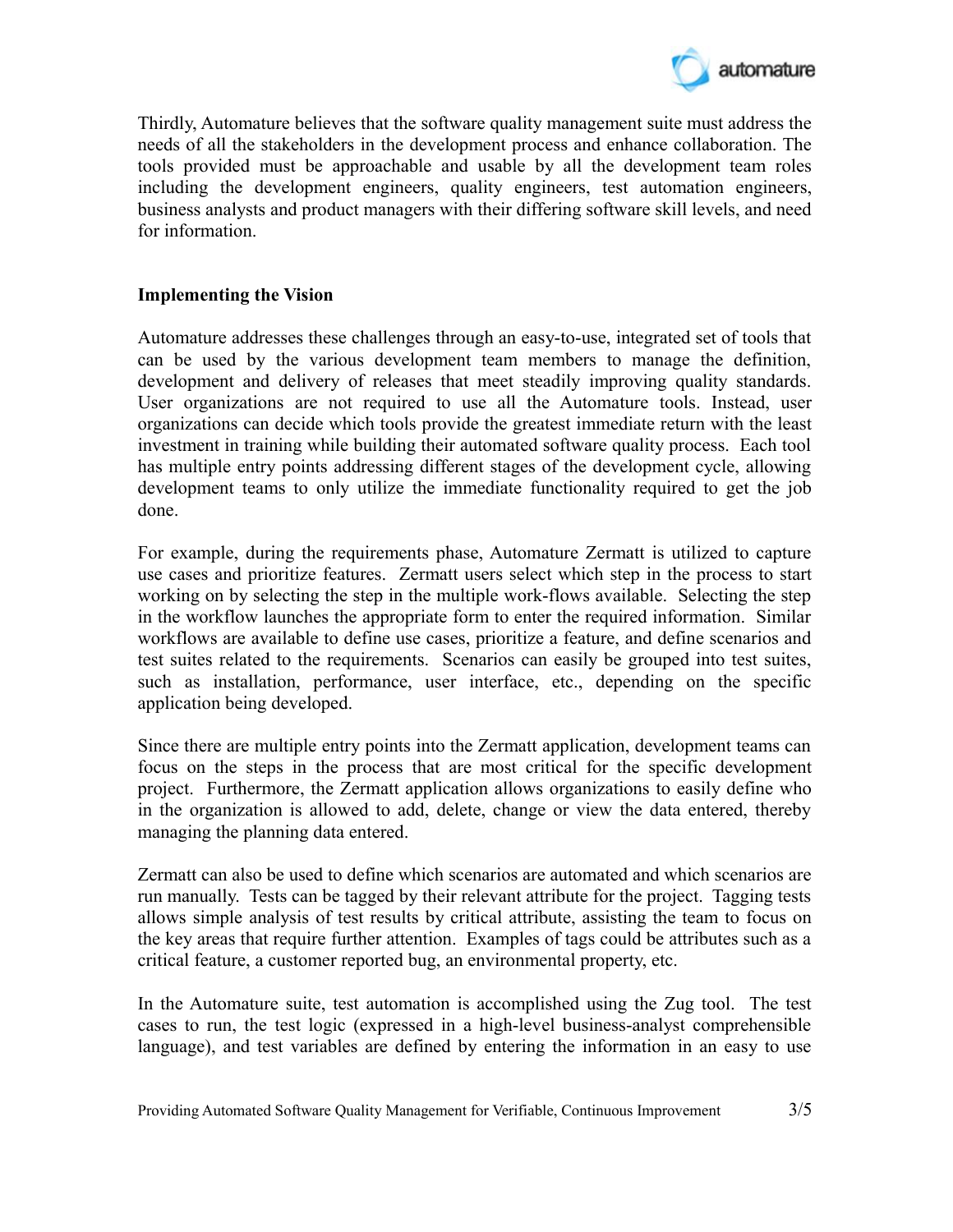

Thirdly, Automature believes that the software quality management suite must address the needs of all the stakeholders in the development process and enhance collaboration. The tools provided must be approachable and usable by all the development team roles including the development engineers, quality engineers, test automation engineers, business analysts and product managers with their differing software skill levels, and need for information.

# **Implementing the Vision**

Automature addresses these challenges through an easy-to-use, integrated set of tools that can be used by the various development team members to manage the definition, development and delivery of releases that meet steadily improving quality standards. User organizations are not required to use all the Automature tools. Instead, user organizations can decide which tools provide the greatest immediate return with the least investment in training while building their automated software quality process. Each tool has multiple entry points addressing different stages of the development cycle, allowing development teams to only utilize the immediate functionality required to get the job done.

For example, during the requirements phase, Automature Zermatt is utilized to capture use cases and prioritize features. Zermatt users select which step in the process to start working on by selecting the step in the multiple work-flows available. Selecting the step in the workflow launches the appropriate form to enter the required information. Similar workflows are available to define use cases, prioritize a feature, and define scenarios and test suites related to the requirements. Scenarios can easily be grouped into test suites, such as installation, performance, user interface, etc., depending on the specific application being developed.

Since there are multiple entry points into the Zermatt application, development teams can focus on the steps in the process that are most critical for the specific development project. Furthermore, the Zermatt application allows organizations to easily define who in the organization is allowed to add, delete, change or view the data entered, thereby managing the planning data entered.

Zermatt can also be used to define which scenarios are automated and which scenarios are run manually. Tests can be tagged by their relevant attribute for the project. Tagging tests allows simple analysis of test results by critical attribute, assisting the team to focus on the key areas that require further attention. Examples of tags could be attributes such as a critical feature, a customer reported bug, an environmental property, etc.

In the Automature suite, test automation is accomplished using the Zug tool. The test cases to run, the test logic (expressed in a high-level business-analyst comprehensible language), and test variables are defined by entering the information in an easy to use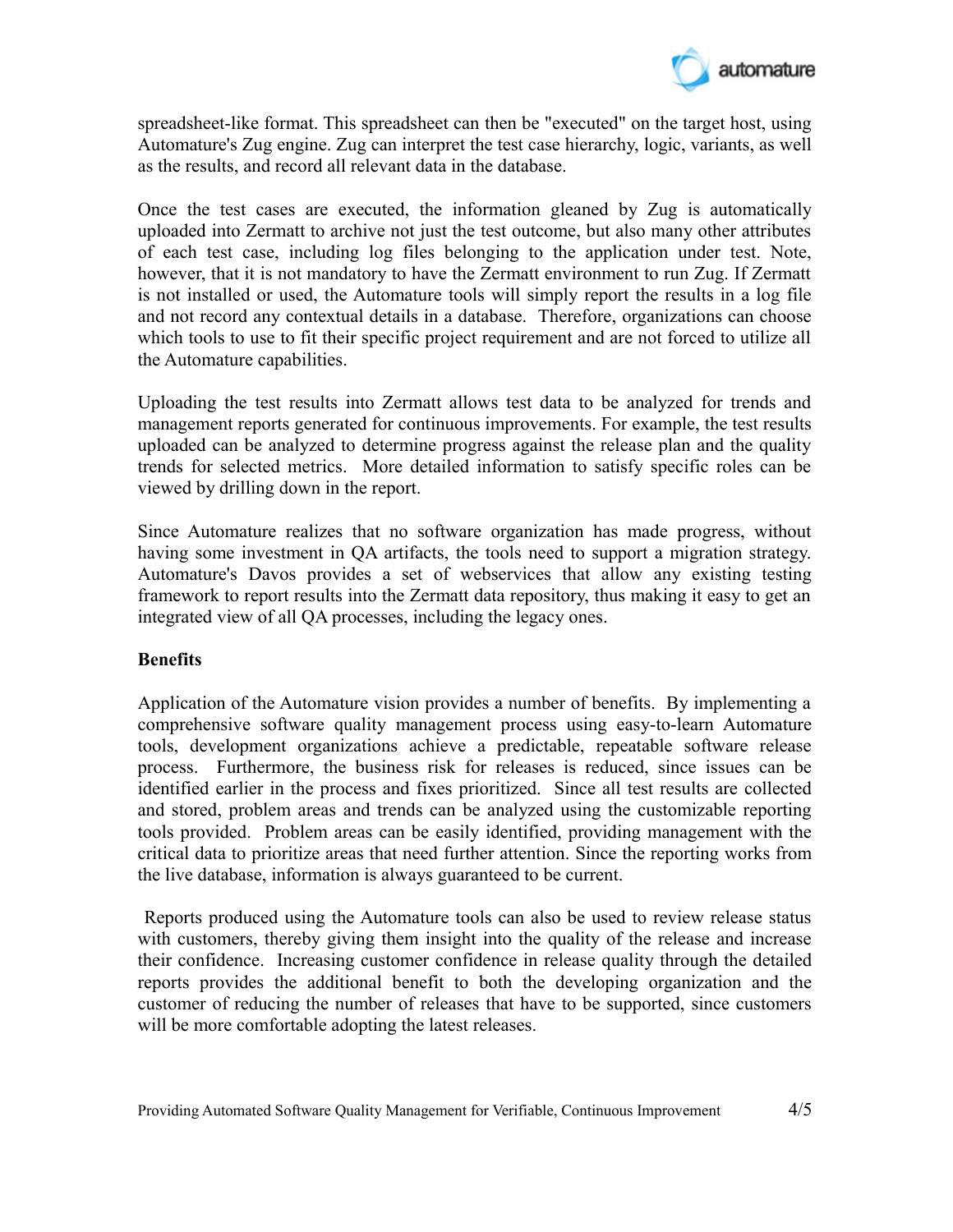

spreadsheet-like format. This spreadsheet can then be "executed" on the target host, using Automature's Zug engine. Zug can interpret the test case hierarchy, logic, variants, as well as the results, and record all relevant data in the database.

Once the test cases are executed, the information gleaned by Zug is automatically uploaded into Zermatt to archive not just the test outcome, but also many other attributes of each test case, including log files belonging to the application under test. Note, however, that it is not mandatory to have the Zermatt environment to run Zug. If Zermatt is not installed or used, the Automature tools will simply report the results in a log file and not record any contextual details in a database. Therefore, organizations can choose which tools to use to fit their specific project requirement and are not forced to utilize all the Automature capabilities.

Uploading the test results into Zermatt allows test data to be analyzed for trends and management reports generated for continuous improvements. For example, the test results uploaded can be analyzed to determine progress against the release plan and the quality trends for selected metrics. More detailed information to satisfy specific roles can be viewed by drilling down in the report.

Since Automature realizes that no software organization has made progress, without having some investment in QA artifacts, the tools need to support a migration strategy. Automature's Davos provides a set of webservices that allow any existing testing framework to report results into the Zermatt data repository, thus making it easy to get an integrated view of all QA processes, including the legacy ones.

# **Benefits**

Application of the Automature vision provides a number of benefits. By implementing a comprehensive software quality management process using easy-to-learn Automature tools, development organizations achieve a predictable, repeatable software release process. Furthermore, the business risk for releases is reduced, since issues can be identified earlier in the process and fixes prioritized. Since all test results are collected and stored, problem areas and trends can be analyzed using the customizable reporting tools provided. Problem areas can be easily identified, providing management with the critical data to prioritize areas that need further attention. Since the reporting works from the live database, information is always guaranteed to be current.

 Reports produced using the Automature tools can also be used to review release status with customers, thereby giving them insight into the quality of the release and increase their confidence. Increasing customer confidence in release quality through the detailed reports provides the additional benefit to both the developing organization and the customer of reducing the number of releases that have to be supported, since customers will be more comfortable adopting the latest releases.